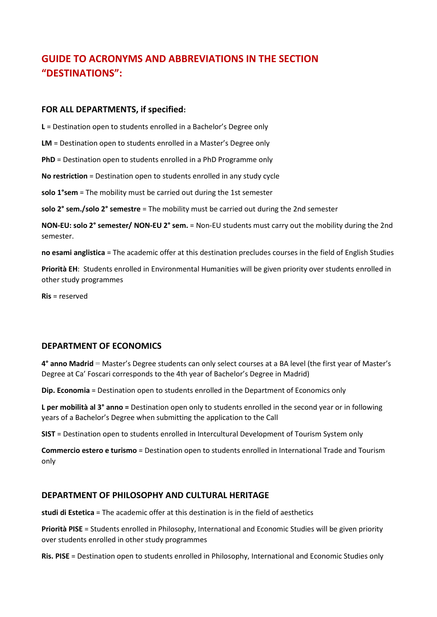# **GUIDE TO ACRONYMS AND ABBREVIATIONS IN THE SECTION "DESTINATIONS":**

#### **FOR ALL DEPARTMENTS, if specified:**

**L** = Destination open to students enrolled in a Bachelor's Degree only

**LM** = Destination open to students enrolled in a Master's Degree only

**PhD** = Destination open to students enrolled in a PhD Programme only

**No restriction** = Destination open to students enrolled in any study cycle

**solo 1°sem** = The mobility must be carried out during the 1st semester

**solo 2° sem./solo 2° semestre** = The mobility must be carried out during the 2nd semester

**NON-EU: solo 2° semester/ NON-EU 2° sem.** = Non-EU students must carry out the mobility during the 2nd semester.

**no esami anglistica** = The academic offer at this destination precludes courses in the field of English Studies

**Priorità EH**: Students enrolled in Environmental Humanities will be given priority over students enrolled in other study programmes

**Ris** = reserved

### **DEPARTMENT OF ECONOMICS**

**4° anno Madrid** = Master's Degree students can only select courses at a BA level (the first year of Master's Degree at Ca' Foscari corresponds to the 4th year of Bachelor's Degree in Madrid)

**Dip. Economia** = Destination open to students enrolled in the Department of Economics only

**L per mobilità al 3° anno =** Destination open only to students enrolled in the second year or in following years of a Bachelor's Degree when submitting the application to the Call

**SIST** = Destination open to students enrolled in Intercultural Development of Tourism System only

**Commercio estero e turismo** = Destination open to students enrolled in International Trade and Tourism only

### **DEPARTMENT OF PHILOSOPHY AND CULTURAL HERITAGE**

**studi di Estetica** = The academic offer at this destination is in the field of aesthetics

**Priorità PISE** = Students enrolled in Philosophy, International and Economic Studies will be given priority over students enrolled in other study programmes

**Ris. PISE** = Destination open to students enrolled in Philosophy, International and Economic Studies only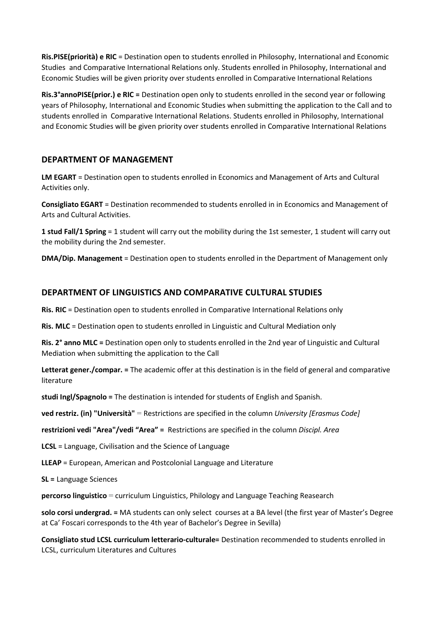**Ris.PISE(priorità) e RIC** = Destination open to students enrolled in Philosophy, International and Economic Studies and Comparative International Relations only. Students enrolled in Philosophy, International and Economic Studies will be given priority over students enrolled in Comparative International Relations

**Ris.3°annoPISE(prior.) e RIC =** Destination open only to students enrolled in the second year or following years of Philosophy, International and Economic Studies when submitting the application to the Call and to students enrolled in Comparative International Relations. Students enrolled in Philosophy, International and Economic Studies will be given priority over students enrolled in Comparative International Relations

# **DEPARTMENT OF MANAGEMENT**

**LM EGART** = Destination open to students enrolled in Economics and Management of Arts and Cultural Activities only.

**Consigliato EGART** = Destination recommended to students enrolled in in Economics and Management of Arts and Cultural Activities.

**1 stud Fall/1 Spring** = 1 student will carry out the mobility during the 1st semester, 1 student will carry out the mobility during the 2nd semester.

**DMA/Dip. Management** = Destination open to students enrolled in the Department of Management only

## **DEPARTMENT OF LINGUISTICS AND COMPARATIVE CULTURAL STUDIES**

**Ris. RIC** = Destination open to students enrolled in Comparative International Relations only

**Ris. MLC** = Destination open to students enrolled in Linguistic and Cultural Mediation only

**Ris. 2° anno MLC =** Destination open only to students enrolled in the 2nd year of Linguistic and Cultural Mediation when submitting the application to the Call

**Letterat gener./compar. =** The academic offer at this destination is in the field of general and comparative literature

**studi Ingl/Spagnolo =** The destination is intended for students of English and Spanish.

**ved restriz. (in) "Università"** = Restrictions are specified in the column *University [Erasmus Code]*

**restrizioni vedi "Area"/vedi "Area" =** Restrictions are specified in the column *Discipl. Area*

**[LCSL](http://www.uni-tuebingen.de/en/113870)** = Language, Civilisation and the Science of Language

**LLEAP** = European, American and Postcolonial Language and Literature

**SL =** Language Sciences

**percorso linguistico** = curriculum Linguistics, Philology and Language Teaching Reasearch

**solo corsi undergrad. =** MA students can only select courses at a BA level (the first year of Master's Degree at Ca' Foscari corresponds to the 4th year of Bachelor's Degree in Sevilla)

**Consigliato stud LCSL curriculum letterario-culturale=** Destination recommended to students enrolled in LCSL, curriculum Literatures and Cultures